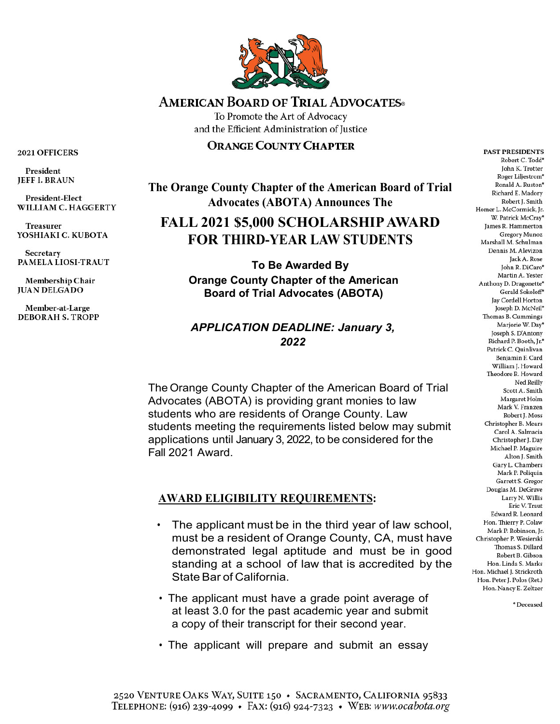

# **AMERICAN BOARD OF TRIAL ADVOCATES**

To Promote the Art of Advocacy and the Efficient Administration of Justice

#### **ORANGE COUNTY CHAPTER**

**The Orange County Chapter of the American Board of Trial Advocates (ABOTA) Announces The** 

# **FALL 2021 \$5,000 SCHOLARSHIP AWARD FOR THIRD-YEAR LAW STUDENTS**

**To Be Awarded By Orange County Chapter of the American Board of Trial Advocates (ABOTA)**

## *APPLICATION DEADLINE: January 3, 2022*

The Orange County Chapter of the American Board of Trial Advocates (ABOTA) is providing grant monies to law students who are residents of Orange County. Law students meeting the requirements listed below may submit applications until January 3, 2022, to be considered for the Fall 2021 Award.

## **AWARD ELIGIBILITY REQUIREMENTS:**

- The applicant must be in the third year of law school, must be a resident of Orange County, CA, must have demonstrated legal aptitude and must be in good standing at a school of law that is accredited by the State Bar of California.
- The applicant must have a grade point average of at least 3.0 for the past academic year and submit a copy of their transcript for their second year.
- The applicant will prepare and submit an essay

2021 OFFICERS

President **JEFF I. BRAUN** 

**President-Elect** WILLIAM C. HAGGERTY

**Treasurer** YOSHIAKI C. KUBOTA

**Secretary** PAMELA LIOSI-TRAUT

Membership Chair **JUAN DELGADO** 

Member-at-Large **DEBORAH S. TROPP** 

Robert C. Todd\* John K. Trotter Roger Liljestrom\* Ronald A Ruston\* Richard E. Madory Robert J. Smith Homer L. McCormick, Jr. W. Patrick McCray\* James R. Hammerton **Gregory Munoz** Marshall M. Schulman Dennis M. Alevizon Jack A. Rose John R. DiCaro\* Martin A. Yester Anthony D. Dragonette\* Gerald Sokoloff\* Jay Cordell Horton Joseph D. McNeil\* Thomas B. Cummings Mariorie W. Dav\* Joseph S. D'Antony Richard P. Booth, Jr.\* Patrick C. Quinlivan Benjamin F. Card William I. Howard Theodore R. Howard Ned Reilly Scott A. Smith Margaret Holm Mark V. Franzen Robert J. Moss Christopher B. Mears Carol A. Salmacia Christopher J. Day Michael P. Maguire Alton J. Smith Gary L. Chambers Mark P. Poliquin Garrett S. Gregor Douglas M. DeGrave Larry N. Willis Eric V. Traut Edward R. Leonard Hon, Thierry P. Colaw Mark P. Robinson, Jr. Christopher P. Wesierski Thomas S. Dillard Robert B. Gibson Hon, Linda S. Marks Hon. Michael J. Strickroth Hon. Peter J. Polos (Ret.) Hon. Nancy E. Zeltzer

**PAST PRESIDENTS** 

\* Deceased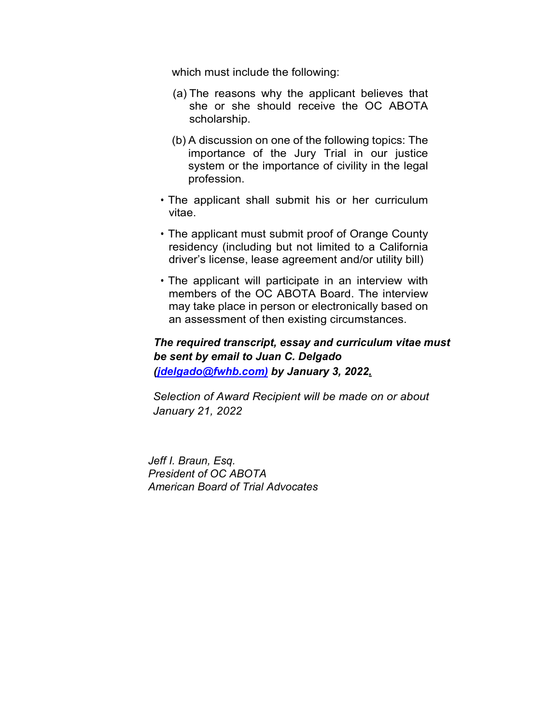which must include the following:

- (a) The reasons why the applicant believes that she or she should receive the OC ABOTA scholarship.
- (b) A discussion on one of the following topics: The importance of the Jury Trial in our justice system or the importance of civility in the legal profession.
- The applicant shall submit his or her curriculum vitae.
- The applicant must submit proof of Orange County residency (including but not limited to a California driver's license, lease agreement and/or utility bill)
- The applicant will participate in an interview with members of the OC ABOTA Board. The interview may take place in person or electronically based on an assessment of then existing circumstances.

### *The required transcript, essay and curriculum vitae must be sent by email to Juan C. Delgado [\(jdelgado@fwhb.com\)](mailto:jdelgado@fwhb.com) by January 3, 2022.*

*Selection of Award Recipient will be made on or about January 21, 2022*

*Jeff I. Braun, Esq. President of OC ABOTA American Board of Trial Advocates*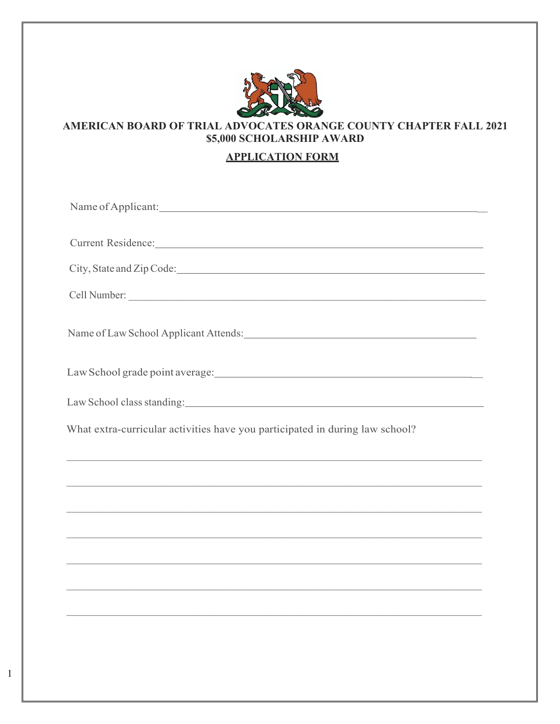

#### **AMERICAN BOARD OF TRIAL ADVOCATES ORANGE COUNTY CHAPTER FALL 2021 \$5,000 SCHOLARSHIP AWARD**

#### **APPLICATION FORM**

| Current Residence: National Communication of the Communication of the Communication of the Communication of the Communication of the Communication of the Communication of the Communication of the Communication of the Commu |
|--------------------------------------------------------------------------------------------------------------------------------------------------------------------------------------------------------------------------------|
|                                                                                                                                                                                                                                |
|                                                                                                                                                                                                                                |
| Name of Law School Applicant Attends: Law Area and Area and Area and Area and Area and Area and Area and Area and Area and Area and Area and Area and Area and Area and Area and Area and Area and Area and Area and Area and  |
|                                                                                                                                                                                                                                |
|                                                                                                                                                                                                                                |
| What extra-curricular activities have you participated in during law school?                                                                                                                                                   |
|                                                                                                                                                                                                                                |
|                                                                                                                                                                                                                                |
|                                                                                                                                                                                                                                |
|                                                                                                                                                                                                                                |
|                                                                                                                                                                                                                                |
|                                                                                                                                                                                                                                |
|                                                                                                                                                                                                                                |
|                                                                                                                                                                                                                                |
|                                                                                                                                                                                                                                |

1